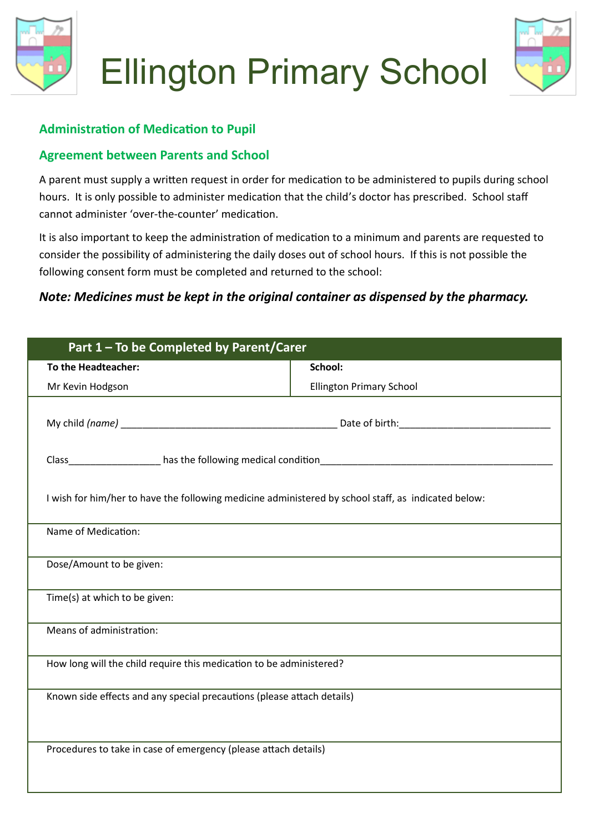



## **Administration of Medication to Pupil**

## **Agreement between Parents and School**

A parent must supply a written request in order for medication to be administered to pupils during school hours. It is only possible to administer medication that the child's doctor has prescribed. School staff cannot administer 'over-the-counter' medication.

It is also important to keep the administration of medication to a minimum and parents are requested to consider the possibility of administering the daily doses out of school hours. If this is not possible the following consent form must be completed and returned to the school:

## *Note: Medicines must be kept in the original container as dispensed by the pharmacy.*

| Part 1 - To be Completed by Parent/Carer                                                            |                                 |
|-----------------------------------------------------------------------------------------------------|---------------------------------|
| To the Headteacher:                                                                                 | School:                         |
| Mr Kevin Hodgson                                                                                    | <b>Ellington Primary School</b> |
|                                                                                                     |                                 |
|                                                                                                     |                                 |
| I wish for him/her to have the following medicine administered by school staff, as indicated below: |                                 |
| Name of Medication:                                                                                 |                                 |
| Dose/Amount to be given:                                                                            |                                 |
| Time(s) at which to be given:                                                                       |                                 |
| Means of administration:                                                                            |                                 |
| How long will the child require this medication to be administered?                                 |                                 |
| Known side effects and any special precautions (please attach details)                              |                                 |
| Procedures to take in case of emergency (please attach details)                                     |                                 |